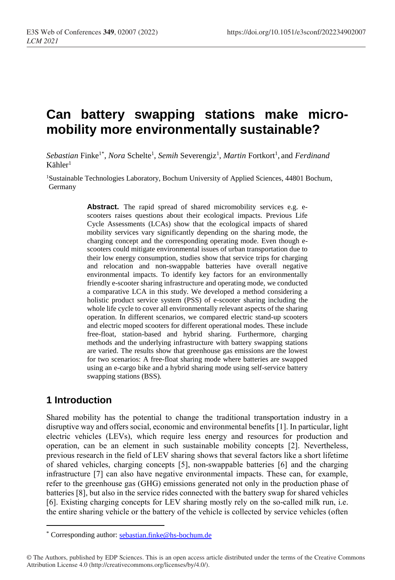# **Can battery swapping stations make micromobility more environmentally sustainable?**

Sebastian Finke<sup>1\*</sup>, *Nora* Schelte<sup>1</sup>, Semih Severengiz<sup>1</sup>, *Martin* Fortkort<sup>1</sup>, and *Ferdinand*  $K$ ähler<sup>1</sup>

<sup>1</sup>Sustainable Technologies Laboratory, Bochum University of Applied Sciences, 44801 Bochum, Germany

> Abstract. The rapid spread of shared micromobility services e.g. escooters raises questions about their ecological impacts. Previous Life Cycle Assessments (LCAs) show that the ecological impacts of shared mobility services vary significantly depending on the sharing mode, the charging concept and the corresponding operating mode. Even though escooters could mitigate environmental issues of urban transportation due to their low energy consumption, studies show that service trips for charging and relocation and non-swappable batteries have overall negative environmental impacts. To identify key factors for an environmentally friendly e-scooter sharing infrastructure and operating mode, we conducted a comparative LCA in this study. We developed a method considering a holistic product service system (PSS) of e-scooter sharing including the whole life cycle to cover all environmentally relevant aspects of the sharing operation. In different scenarios, we compared electric stand-up scooters and electric moped scooters for different operational modes. These include free-float, station-based and hybrid sharing. Furthermore, charging methods and the underlying infrastructure with battery swapping stations are varied. The results show that greenhouse gas emissions are the lowest for two scenarios: A free-float sharing mode where batteries are swapped using an e-cargo bike and a hybrid sharing mode using self-service battery swapping stations (BSS).

# **1 Introduction**

 $\overline{a}$ 

Shared mobility has the potential to change the traditional transportation industry in a disruptive way and offers social, economic and environmental benefits [1]. In particular, light electric vehicles (LEVs), which require less energy and resources for production and operation, can be an element in such sustainable mobility concepts [2]. Nevertheless, previous research in the field of LEV sharing shows that several factors like a short lifetime of shared vehicles, charging concepts [5], non-swappable batteries [6] and the charging infrastructure [7] can also have negative environmental impacts. These can, for example, refer to the greenhouse gas (GHG) emissions generated not only in the production phase of batteries [8], but also in the service rides connected with the battery swap for shared vehicles [6]. Existing charging concepts for LEV sharing mostly rely on the so-called milk run, i.e. the entire sharing vehicle or the battery of the vehicle is collected by service vehicles (often

<sup>\*</sup> Corresponding author: [sebastian.finke@hs-bochum.de](mailto:sebastian.finke@hs-bochum.de)

<sup>©</sup> The Authors, published by EDP Sciences. This is an open access article distributed under the terms of the Creative Commons Attribution License 4.0 (http://creativecommons.org/licenses/by/4.0/).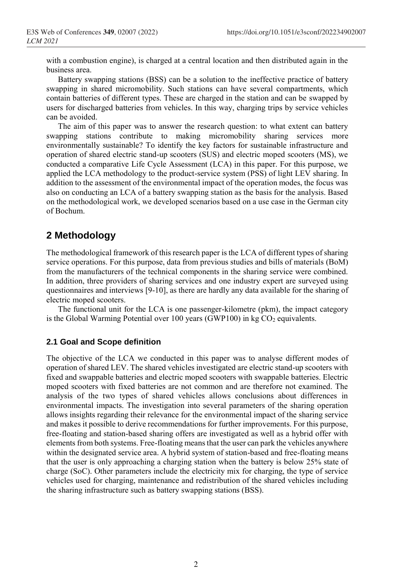with a combustion engine), is charged at a central location and then distributed again in the business area.

Battery swapping stations (BSS) can be a solution to the ineffective practice of battery swapping in shared micromobility. Such stations can have several compartments, which contain batteries of different types. These are charged in the station and can be swapped by users for discharged batteries from vehicles. In this way, charging trips by service vehicles can be avoided.

The aim of this paper was to answer the research question: to what extent can battery swapping stations contribute to making micromobility sharing services more environmentally sustainable? To identify the key factors for sustainable infrastructure and operation of shared electric stand-up scooters (SUS) and electric moped scooters (MS), we conducted a comparative Life Cycle Assessment (LCA) in this paper. For this purpose, we applied the LCA methodology to the product-service system (PSS) of light LEV sharing. In addition to the assessment of the environmental impact of the operation modes, the focus was also on conducting an LCA of a battery swapping station as the basis for the analysis. Based on the methodological work, we developed scenarios based on a use case in the German city of Bochum.

## **2 Methodology**

The methodological framework of this research paper is the LCA of different types of sharing service operations. For this purpose, data from previous studies and bills of materials (BoM) from the manufacturers of the technical components in the sharing service were combined. In addition, three providers of sharing services and one industry expert are surveyed using questionnaires and interviews [9-10], as there are hardly any data available for the sharing of electric moped scooters.

The functional unit for the LCA is one passenger-kilometre (pkm), the impact category is the Global Warming Potential over 100 years (GWP100) in  $kg CO<sub>2</sub>$  equivalents.

#### **2.1 Goal and Scope definition**

The objective of the LCA we conducted in this paper was to analyse different modes of operation of shared LEV. The shared vehicles investigated are electric stand-up scooters with fixed and swappable batteries and electric moped scooters with swappable batteries. Electric moped scooters with fixed batteries are not common and are therefore not examined. The analysis of the two types of shared vehicles allows conclusions about differences in environmental impacts. The investigation into several parameters of the sharing operation allows insights regarding their relevance for the environmental impact of the sharing service and makes it possible to derive recommendations for further improvements. For this purpose, free-floating and station-based sharing offers are investigated as well as a hybrid offer with elements from both systems. Free-floating means that the user can park the vehicles anywhere within the designated service area. A hybrid system of station-based and free-floating means that the user is only approaching a charging station when the battery is below 25% state of charge (SoC). Other parameters include the electricity mix for charging, the type of service vehicles used for charging, maintenance and redistribution of the shared vehicles including the sharing infrastructure such as battery swapping stations (BSS).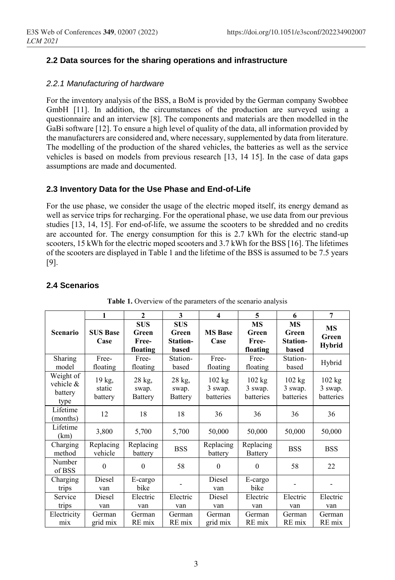### **2.2 Data sources for the sharing operations and infrastructure**

#### *2.2.1 Manufacturing of hardware*

For the inventory analysis of the BSS, a BoM is provided by the German company Swobbee GmbH [11]. In addition, the circumstances of the production are surveyed using a questionnaire and an interview [8]. The components and materials are then modelled in the GaBi software [12]. To ensure a high level of quality of the data, all information provided by the manufacturers are considered and, where necessary, supplemented by data from literature. The modelling of the production of the shared vehicles, the batteries as well as the service vehicles is based on models from previous research [13, 14 15]. In the case of data gaps assumptions are made and documented.

#### **2.3 Inventory Data for the Use Phase and End-of-Life**

For the use phase, we consider the usage of the electric moped itself, its energy demand as well as service trips for recharging. For the operational phase, we use data from our previous studies [13, 14, 15]. For end-of-life, we assume the scooters to be shredded and no credits are accounted for. The energy consumption for this is 2.7 kWh for the electric stand-up scooters, 15 kWh for the electric moped scooters and 3.7 kWh for the BSS [16]. The lifetimes of the scooters are displayed in Table 1 and the lifetime of the BSS is assumed to be 7.5 years [9].

#### **2.4 Scenarios**

|                                              | 1                           | $\overline{2}$                           | 3                                        | $\overline{\mathbf{4}}$                  | 5                                        | 6                                       | $\overline{7}$                      |
|----------------------------------------------|-----------------------------|------------------------------------------|------------------------------------------|------------------------------------------|------------------------------------------|-----------------------------------------|-------------------------------------|
| Scenario                                     | <b>SUS Base</b><br>Case     | <b>SUS</b><br>Green<br>Free-<br>floating | <b>SUS</b><br>Green<br>Station-<br>based | <b>MS</b> Base<br>Case                   | <b>MS</b><br>Green<br>Free-<br>floating  | <b>MS</b><br>Green<br>Station-<br>based | <b>MS</b><br>Green<br><b>Hybrid</b> |
| Sharing<br>model                             | Free-<br>floating           | Free-<br>floating                        | Station-<br>based                        | Free-<br>floating                        | Free-<br>floating                        | Station-<br>based                       | Hybrid                              |
| Weight of<br>vehicle $\&$<br>battery<br>type | 19 kg,<br>static<br>battery | 28 kg,<br>swap.<br><b>Battery</b>        | 28 kg,<br>swap.<br>Battery               | $102 \text{ kg}$<br>3 swap.<br>batteries | $102 \text{ kg}$<br>3 swap.<br>batteries | 102 kg<br>3 swap.<br>batteries          | 102 kg<br>3 swap.<br>batteries      |
| Lifetime<br>(months)                         | 12                          | 18                                       | 18                                       | 36                                       | 36                                       | 36                                      | 36                                  |
| Lifetime<br>(km)                             | 3,800                       | 5,700                                    | 5,700                                    | 50,000                                   | 50,000                                   | 50,000                                  | 50,000                              |
| Charging<br>method                           | Replacing<br>vehicle        | Replacing<br>battery                     | <b>BSS</b>                               | Replacing<br>battery                     | Replacing<br><b>Battery</b>              | <b>BSS</b>                              | <b>BSS</b>                          |
| Number<br>of BSS                             | $\mathbf{0}$                | $\theta$                                 | 58                                       | $\mathbf{0}$                             | $\Omega$                                 | 58                                      | 22                                  |
| Charging<br>trips                            | Diesel<br>van               | E-cargo<br>bike                          |                                          | Diesel<br>van                            | E-cargo<br>bike                          |                                         |                                     |
| Service                                      | Diesel                      | Electric                                 | Electric                                 | Diesel                                   | Electric                                 | Electric                                | Electric                            |
| trips                                        | van                         | van                                      | van                                      | van                                      | van                                      | van                                     | van                                 |
| Electricity                                  | German                      | German                                   | German                                   | German                                   | German                                   | German                                  | German                              |
| mix                                          | grid mix                    | RE mix                                   | RE mix                                   | grid mix                                 | RE mix                                   | RE mix                                  | RE mix                              |

Table 1. Overview of the parameters of the scenario analysis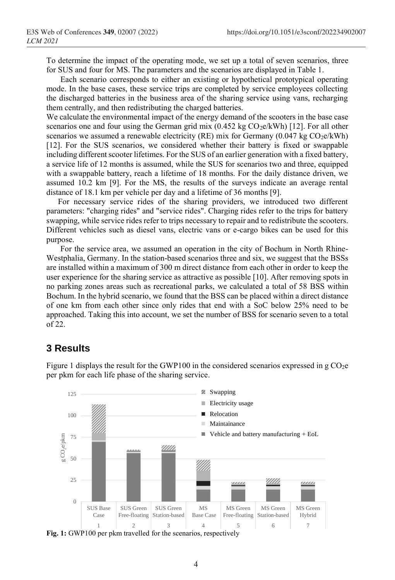To determine the impact of the operating mode, we set up a total of seven scenarios, three for SUS and four for MS. The parameters and the scenarios are displayed in Table 1.

Each scenario corresponds to either an existing or hypothetical prototypical operating mode. In the base cases, these service trips are completed by service employees collecting the discharged batteries in the business area of the sharing service using vans, recharging them centrally, and then redistributing the charged batteries.

We calculate the environmental impact of the energy demand of the scooters in the base case scenarios one and four using the German grid mix  $(0.452 \text{ kg CO}_2\text{e/kWh})$  [12]. For all other scenarios we assumed a renewable electricity (RE) mix for Germany (0.047 kg  $CO<sub>2</sub>e/kWh$ ) [12]. For the SUS scenarios, we considered whether their battery is fixed or swappable including different scooter lifetimes. For the SUS of an earlier generation with a fixed battery, a service life of 12 months is assumed, while the SUS for scenarios two and three, equipped with a swappable battery, reach a lifetime of 18 months. For the daily distance driven, we assumed 10.2 km [9]. For the MS, the results of the surveys indicate an average rental distance of 18.1 km per vehicle per day and a lifetime of 36 months [9].

For necessary service rides of the sharing providers, we introduced two different parameters: "charging rides" and "service rides". Charging rides refer to the trips for battery swapping, while service rides refer to trips necessary to repair and to redistribute the scooters. Different vehicles such as diesel vans, electric vans or e-cargo bikes can be used for this purpose.

For the service area, we assumed an operation in the city of Bochum in North Rhine-Westphalia, Germany. In the station-based scenarios three and six, we suggest that the BSSs are installed within a maximum of 300 m direct distance from each other in order to keep the user experience for the sharing service as attractive as possible [10]. After removing spots in no parking zones areas such as recreational parks, we calculated a total of 58 BSS within Bochum. In the hybrid scenario, we found that the BSS can be placed within a direct distance of one km from each other since only rides that end with a SoC below 25% need to be approached. Taking this into account, we set the number of BSS for scenario seven to a total of 22.

# **3 Results**



Figure 1 displays the result for the GWP100 in the considered scenarios expressed in  $g \text{CO}_2e$ per pkm for each life phase of the sharing service.

**Fig. 1:** GWP100 per pkm travelled for the scenarios, respectively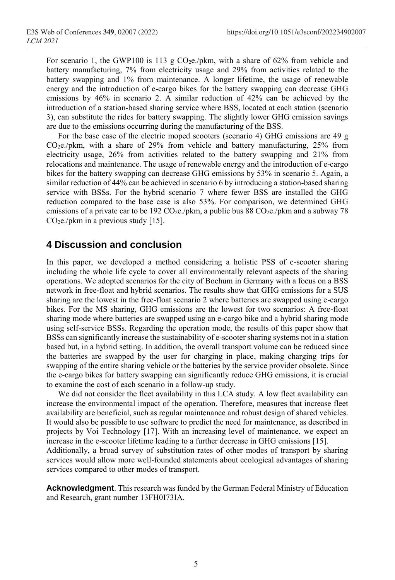For scenario 1, the GWP100 is 113 g CO<sub>2</sub>e./pkm, with a share of 62% from vehicle and battery manufacturing, 7% from electricity usage and 29% from activities related to the battery swapping and 1% from maintenance. A longer lifetime, the usage of renewable energy and the introduction of e-cargo bikes for the battery swapping can decrease GHG emissions by 46% in scenario 2. A similar reduction of 42% can be achieved by the introduction of a station-based sharing service where BSS, located at each station (scenario 3), can substitute the rides for battery swapping. The slightly lower GHG emission savings are due to the emissions occurring during the manufacturing of the BSS.

For the base case of the electric moped scooters (scenario 4) GHG emissions are 49 g CO2e./pkm, with a share of 29% from vehicle and battery manufacturing, 25% from electricity usage, 26% from activities related to the battery swapping and 21% from relocations and maintenance. The usage of renewable energy and the introduction of e-cargo bikes for the battery swapping can decrease GHG emissions by 53% in scenario 5. Again, a similar reduction of 44% can be achieved in scenario 6 by introducing a station-based sharing service with BSSs. For the hybrid scenario 7 where fewer BSS are installed the GHG reduction compared to the base case is also 53%. For comparison, we determined GHG emissions of a private car to be 192  $CO<sub>2</sub>e./pkm$ , a public bus 88  $CO<sub>2</sub>e./pkm$  and a subway 78  $CO<sub>2</sub>e./pkm$  in a previous study [15].

# **4 Discussion and conclusion**

In this paper, we developed a method considering a holistic PSS of e-scooter sharing including the whole life cycle to cover all environmentally relevant aspects of the sharing operations. We adopted scenarios for the city of Bochum in Germany with a focus on a BSS network in free-float and hybrid scenarios. The results show that GHG emissions for a SUS sharing are the lowest in the free-float scenario 2 where batteries are swapped using e-cargo bikes. For the MS sharing, GHG emissions are the lowest for two scenarios: A free-float sharing mode where batteries are swapped using an e-cargo bike and a hybrid sharing mode using self-service BSSs. Regarding the operation mode, the results of this paper show that BSSs can significantly increase the sustainability of e-scooter sharing systems not in a station based but, in a hybrid setting. In addition, the overall transport volume can be reduced since the batteries are swapped by the user for charging in place, making charging trips for swapping of the entire sharing vehicle or the batteries by the service provider obsolete. Since the e-cargo bikes for battery swapping can significantly reduce GHG emissions, it is crucial to examine the cost of each scenario in a follow-up study.

We did not consider the fleet availability in this LCA study. A low fleet availability can increase the environmental impact of the operation. Therefore, measures that increase fleet availability are beneficial, such as regular maintenance and robust design of shared vehicles. It would also be possible to use software to predict the need for maintenance, as described in projects by Voi Technology [17]. With an increasing level of maintenance, we expect an increase in the e-scooter lifetime leading to a further decrease in GHG emissions [15].

Additionally, a broad survey of substitution rates of other modes of transport by sharing services would allow more well-founded statements about ecological advantages of sharing services compared to other modes of transport.

**Acknowledgment**. This research was funded by the German Federal Ministry of Education and Research, grant number 13FH0I73IA.